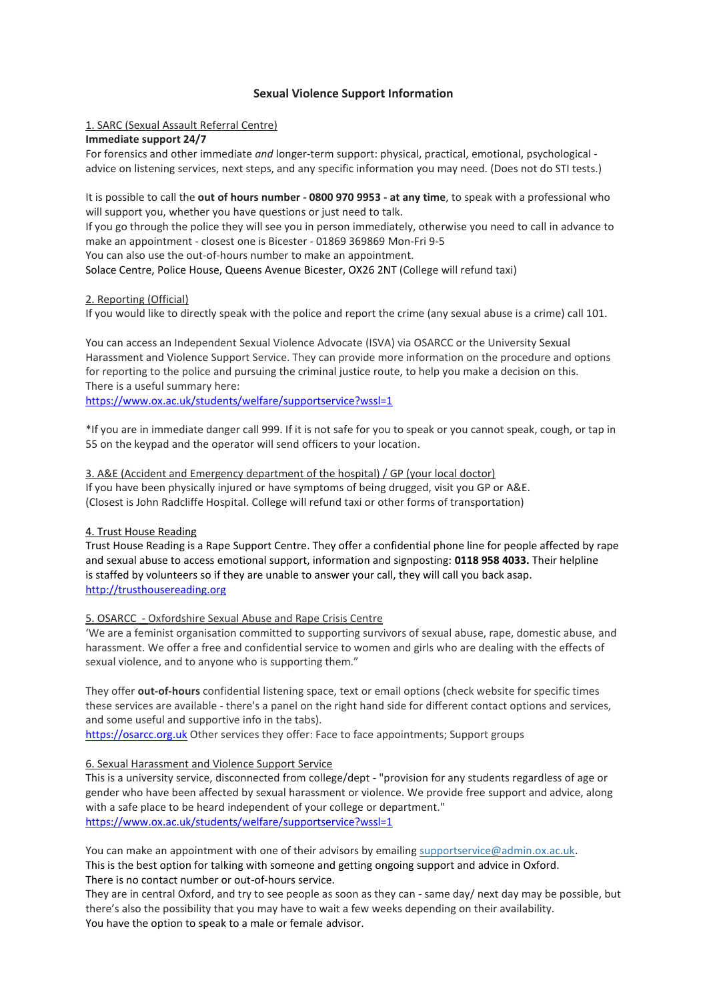# **Sexual Violence Support Information**

## 1. SARC (Sexual Assault Referral Centre)

## **Immediate support 24/7**

For forensics and other immediate *and* longer-term support: physical, practical, emotional, psychological advice on listening services, next steps, and any specific information you may need. (Does not do STI tests.)

It is possible to call the **out of hours number - 0800 970 9953 - at any time**, to speak with a professional who will support you, whether you have questions or just need to talk.

If you go through the police they will see you in person immediately, otherwise you need to call in advance to make an appointment - closest one is Bicester - 01869 369869 Mon-Fri 9-5

You can also use the out-of-hours number to make an appointment.

Solace Centre, Police House, Queens Avenue Bicester, OX26 2NT (College will refund taxi)

# 2. Reporting (Official)

If you would like to directly speak with the police and report the crime (any sexual abuse is a crime) call 101.

You can access an Independent Sexual Violence Advocate (ISVA) via OSARCC or the University Sexual Harassment and Violence Support Service. They can provide more information on the procedure and options for reporting to the police and pursuing the criminal justice route, to help you make a decision on this. There is a useful summary here:

<https://www.ox.ac.uk/students/welfare/supportservice?wssl=1>

\*If you are in immediate danger call 999. If it is not safe for you to speak or you cannot speak, cough, or tap in 55 on the keypad and the operator will send officers to your location.

3. A&E (Accident and Emergency department of the hospital) / GP (your local doctor) If you have been physically injured or have symptoms of being drugged, visit you GP or A&E. (Closest is John Radcliffe Hospital. College will refund taxi or other forms of transportation)

## 4. Trust House Reading

Trust House Reading is a Rape Support Centre. They offer a confidential phone line for people affected by rape and sexual abuse to access emotional support, information and signposting: **0118 958 4033.** Their helpline is staffed by volunteers so if they are unable to answer your call, they will call you back asap. [http://trusthousereading.org](http://trusthousereading.org/)

## 5. OSARCC - Oxfordshire Sexual Abuse and Rape Crisis Centre

'We are a feminist organisation committed to supporting survivors of sexual abuse, rape, domestic abuse, and harassment. We offer a free and confidential service to women and girls who are dealing with the effects of sexual violence, and to anyone who is supporting them."

They offer **out-of-hours** confidential listening space, text or email options (check website for specific times these services are available - there's a panel on the right hand side for different contact options and services, and some useful and supportive info in the tabs).

[https://osarcc.org.uk](https://osarcc.org.uk/) Other services they offer: Face to face appointments; Support groups

## 6. Sexual Harassment and Violence Support Service

This is a university service, disconnected from college/dept - "provision for any students regardless of age or gender who have been affected by sexual harassment or violence. We provide free support and advice, along with a safe place to be heard independent of your college or department." <https://www.ox.ac.uk/students/welfare/supportservice?wssl=1>

You can make an appointment with one of their advisors by emailing [supportservice@admin.ox.ac.uk.](mailto:supportservice@admin.ox.ac.uk) This is the best option for talking with someone and getting ongoing support and advice in Oxford. There is no contact number or out-of-hours service.

They are in central Oxford, and try to see people as soon as they can - same day/ next day may be possible, but there's also the possibility that you may have to wait a few weeks depending on their availability. You have the option to speak to a male or female advisor.